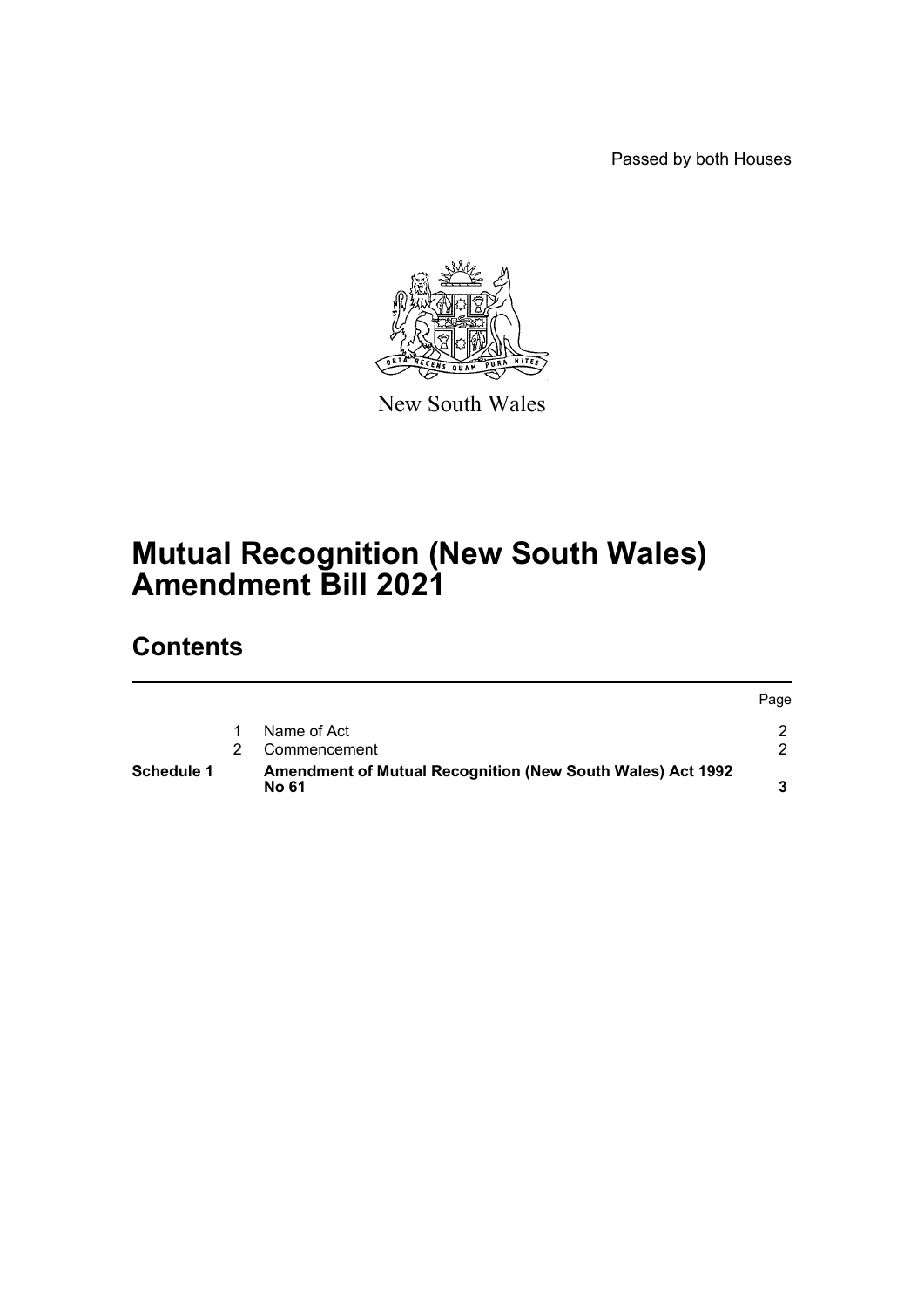Passed by both Houses



New South Wales

# **Mutual Recognition (New South Wales) Amendment Bill 2021**

## **Contents**

| <b>Schedule 1</b> | <b>Amendment of Mutual Recognition (New South Wales) Act 1992</b><br>No 61 |      |
|-------------------|----------------------------------------------------------------------------|------|
|                   | Commencement                                                               |      |
|                   | Name of Act                                                                |      |
|                   |                                                                            | Page |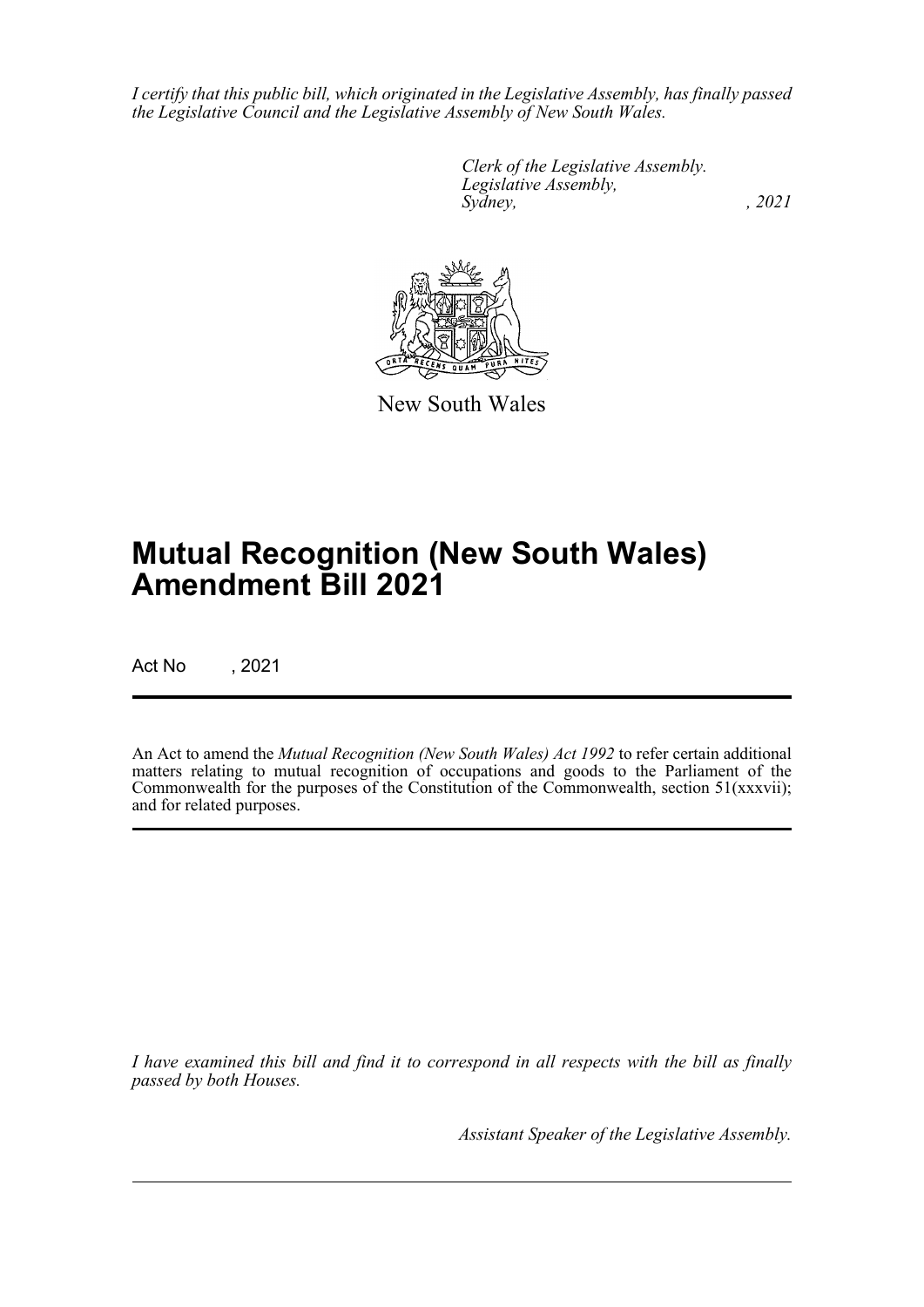*I certify that this public bill, which originated in the Legislative Assembly, has finally passed the Legislative Council and the Legislative Assembly of New South Wales.*

> *Clerk of the Legislative Assembly. Legislative Assembly, Sydney, , 2021*



New South Wales

# **Mutual Recognition (New South Wales) Amendment Bill 2021**

Act No , 2021

An Act to amend the *Mutual Recognition (New South Wales) Act 1992* to refer certain additional matters relating to mutual recognition of occupations and goods to the Parliament of the Commonwealth for the purposes of the Constitution of the Commonwealth, section  $51(xxxvii)$ ; and for related purposes.

*I have examined this bill and find it to correspond in all respects with the bill as finally passed by both Houses.*

*Assistant Speaker of the Legislative Assembly.*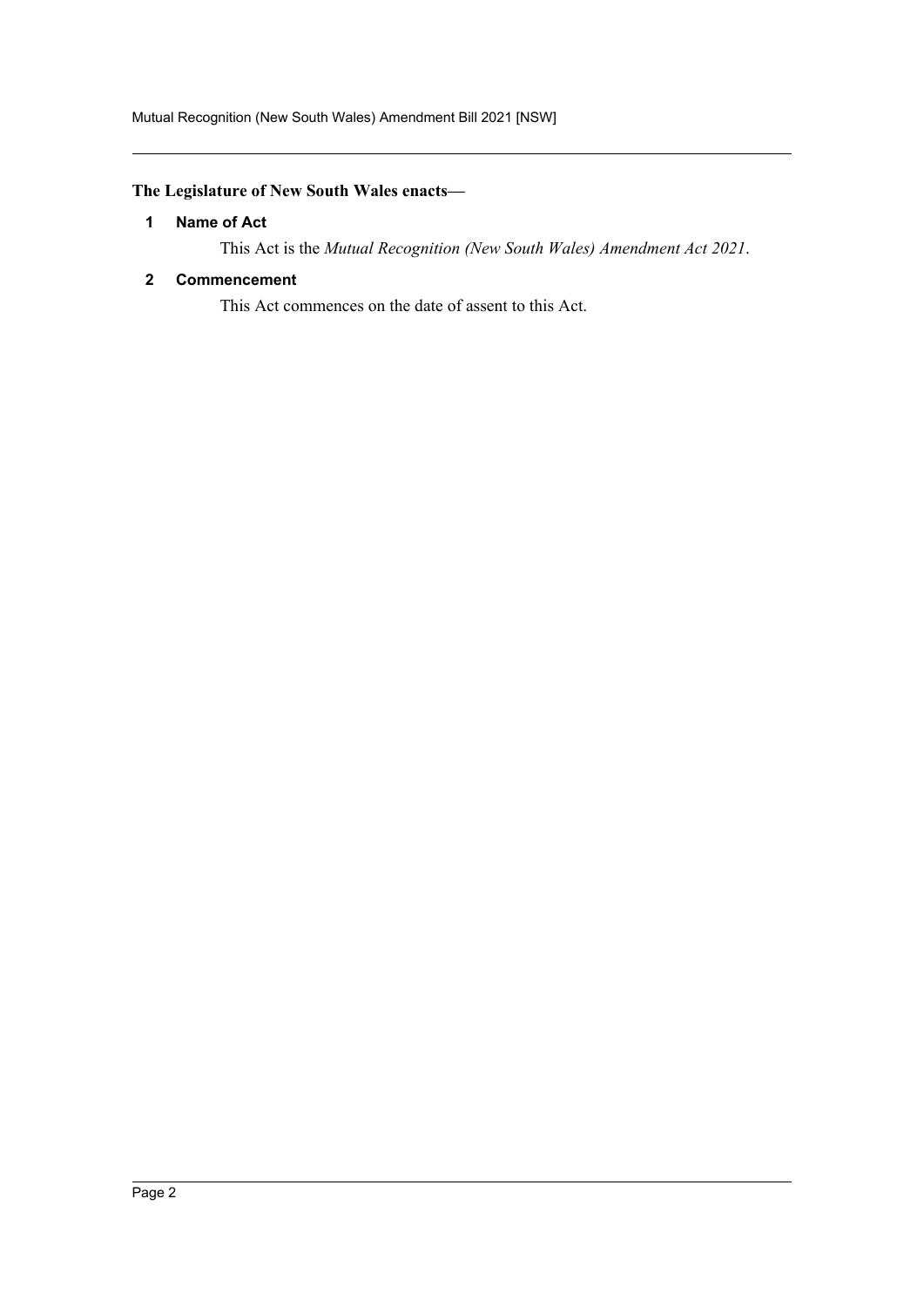### <span id="page-2-0"></span>**The Legislature of New South Wales enacts—**

#### **1 Name of Act**

This Act is the *Mutual Recognition (New South Wales) Amendment Act 2021*.

#### <span id="page-2-1"></span>**2 Commencement**

This Act commences on the date of assent to this Act.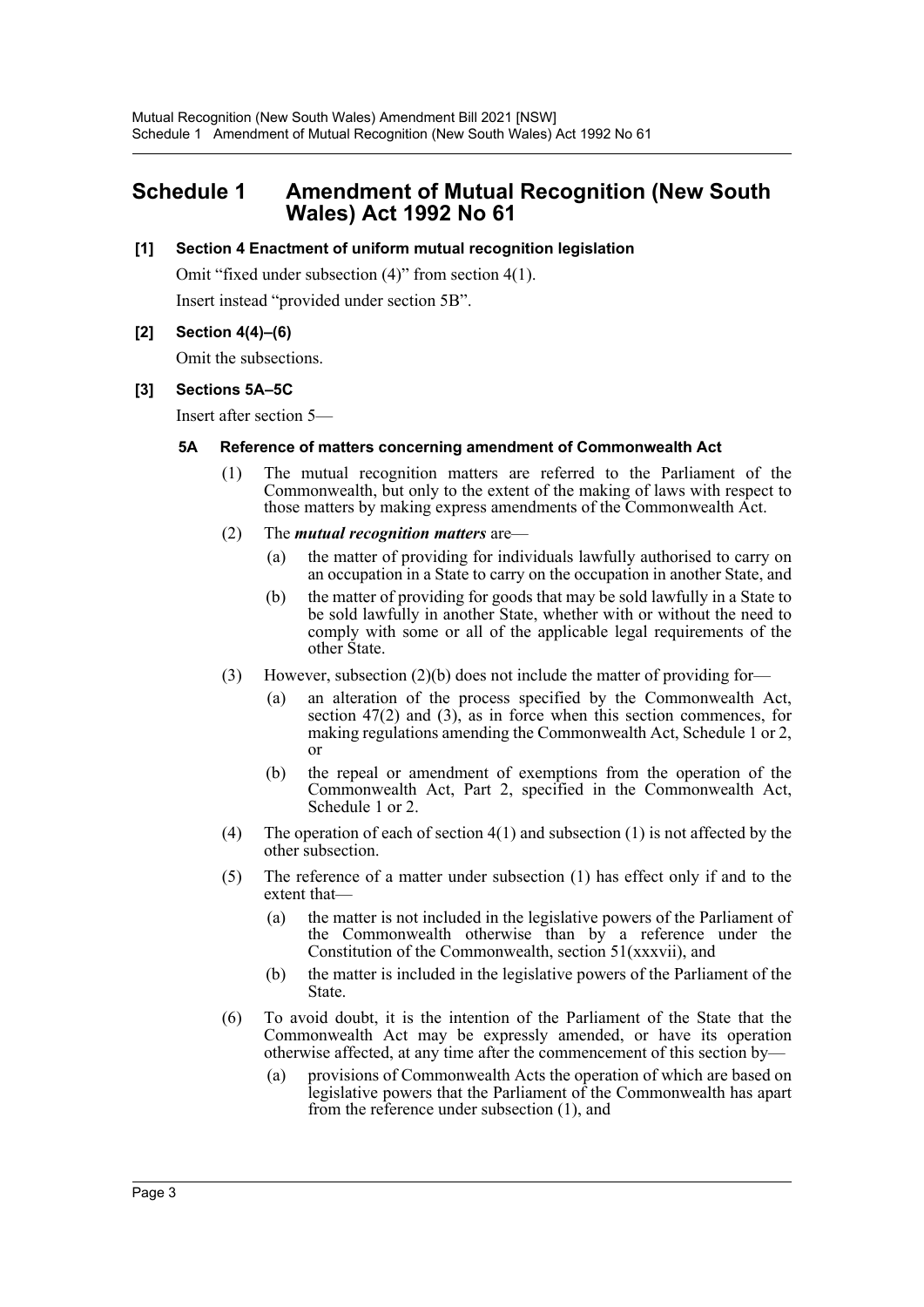### <span id="page-3-0"></span>**Schedule 1 Amendment of Mutual Recognition (New South Wales) Act 1992 No 61**

#### **[1] Section 4 Enactment of uniform mutual recognition legislation**

Omit "fixed under subsection (4)" from section 4(1). Insert instead "provided under section 5B".

#### **[2] Section 4(4)–(6)**

Omit the subsections.

#### **[3] Sections 5A–5C**

Insert after section 5—

#### **5A Reference of matters concerning amendment of Commonwealth Act**

- (1) The mutual recognition matters are referred to the Parliament of the Commonwealth, but only to the extent of the making of laws with respect to those matters by making express amendments of the Commonwealth Act.
- (2) The *mutual recognition matters* are—
	- (a) the matter of providing for individuals lawfully authorised to carry on an occupation in a State to carry on the occupation in another State, and
	- (b) the matter of providing for goods that may be sold lawfully in a State to be sold lawfully in another State, whether with or without the need to comply with some or all of the applicable legal requirements of the other State.
- (3) However, subsection (2)(b) does not include the matter of providing for—
	- (a) an alteration of the process specified by the Commonwealth Act, section  $47(2)$  and  $(3)$ , as in force when this section commences, for making regulations amending the Commonwealth Act, Schedule 1 or 2, or
	- (b) the repeal or amendment of exemptions from the operation of the Commonwealth Act, Part 2, specified in the Commonwealth Act, Schedule 1 or 2.
- (4) The operation of each of section  $4(1)$  and subsection (1) is not affected by the other subsection.
- (5) The reference of a matter under subsection (1) has effect only if and to the extent that—
	- (a) the matter is not included in the legislative powers of the Parliament of the Commonwealth otherwise than by a reference under the Constitution of the Commonwealth, section 51(xxxvii), and
	- (b) the matter is included in the legislative powers of the Parliament of the State.
- (6) To avoid doubt, it is the intention of the Parliament of the State that the Commonwealth Act may be expressly amended, or have its operation otherwise affected, at any time after the commencement of this section by—
	- (a) provisions of Commonwealth Acts the operation of which are based on legislative powers that the Parliament of the Commonwealth has apart from the reference under subsection (1), and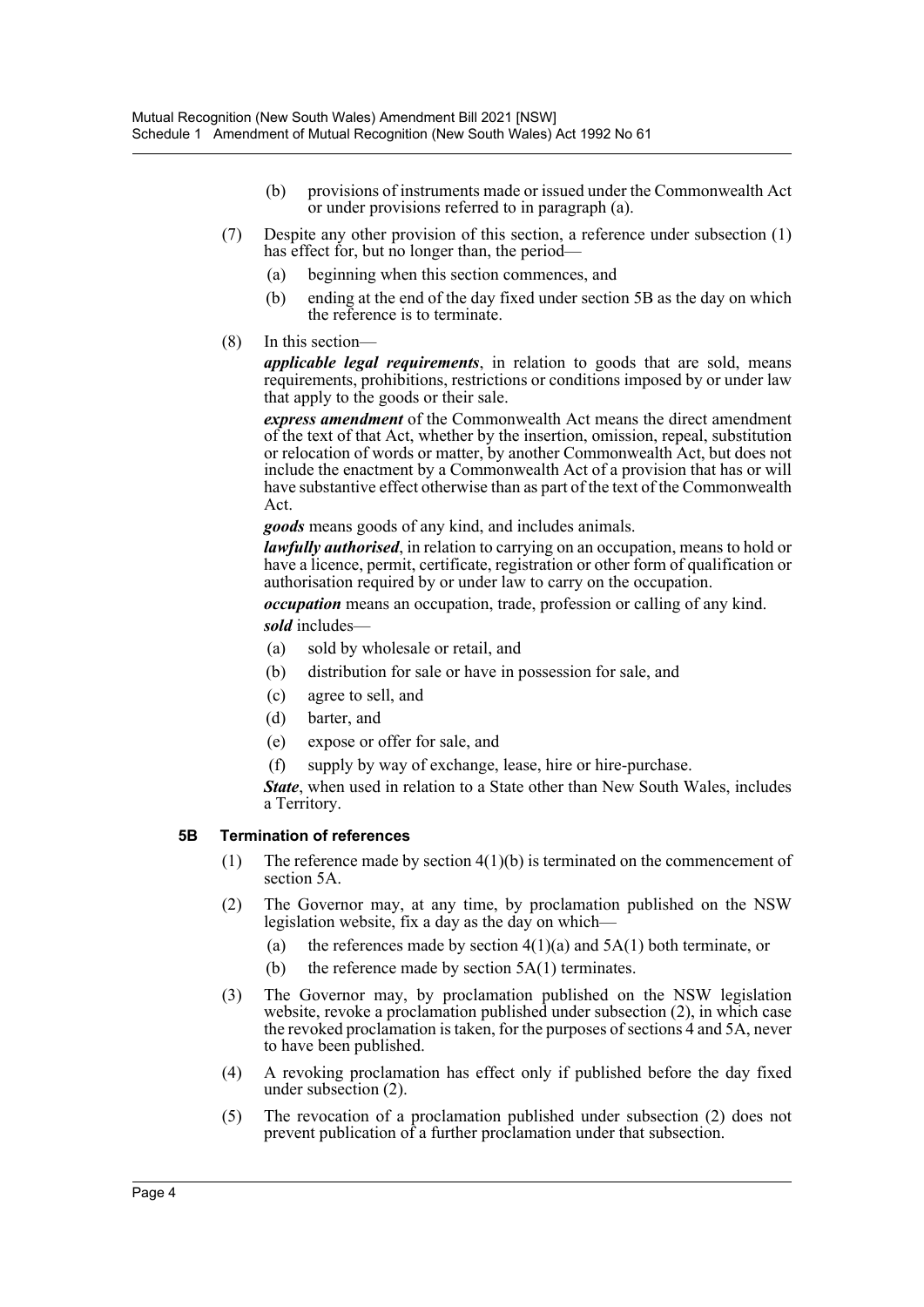- (b) provisions of instruments made or issued under the Commonwealth Act or under provisions referred to in paragraph (a).
- (7) Despite any other provision of this section, a reference under subsection (1) has effect for, but no longer than, the period—
	- (a) beginning when this section commences, and
	- (b) ending at the end of the day fixed under section 5B as the day on which the reference is to terminate.
- (8) In this section—

*applicable legal requirements*, in relation to goods that are sold, means requirements, prohibitions, restrictions or conditions imposed by or under law that apply to the goods or their sale.

*express amendment* of the Commonwealth Act means the direct amendment of the text of that Act, whether by the insertion, omission, repeal, substitution or relocation of words or matter, by another Commonwealth Act, but does not include the enactment by a Commonwealth Act of a provision that has or will have substantive effect otherwise than as part of the text of the Commonwealth Act.

*goods* means goods of any kind, and includes animals.

*lawfully authorised*, in relation to carrying on an occupation, means to hold or have a licence, permit, certificate, registration or other form of qualification or authorisation required by or under law to carry on the occupation.

*occupation* means an occupation, trade, profession or calling of any kind. *sold* includes—

- (a) sold by wholesale or retail, and
- (b) distribution for sale or have in possession for sale, and
- (c) agree to sell, and
- (d) barter, and
- (e) expose or offer for sale, and
- (f) supply by way of exchange, lease, hire or hire-purchase.

*State*, when used in relation to a State other than New South Wales, includes a Territory.

#### **5B Termination of references**

- (1) The reference made by section  $4(1)(b)$  is terminated on the commencement of section 5A.
- (2) The Governor may, at any time, by proclamation published on the NSW legislation website, fix a day as the day on which—
	- (a) the references made by section  $4(1)(a)$  and  $5A(1)$  both terminate, or
	- (b) the reference made by section  $5A(1)$  terminates.
- (3) The Governor may, by proclamation published on the NSW legislation website, revoke a proclamation published under subsection (2), in which case the revoked proclamation is taken, for the purposes of sections 4 and 5A, never to have been published.
- (4) A revoking proclamation has effect only if published before the day fixed under subsection (2).
- (5) The revocation of a proclamation published under subsection (2) does not prevent publication of a further proclamation under that subsection.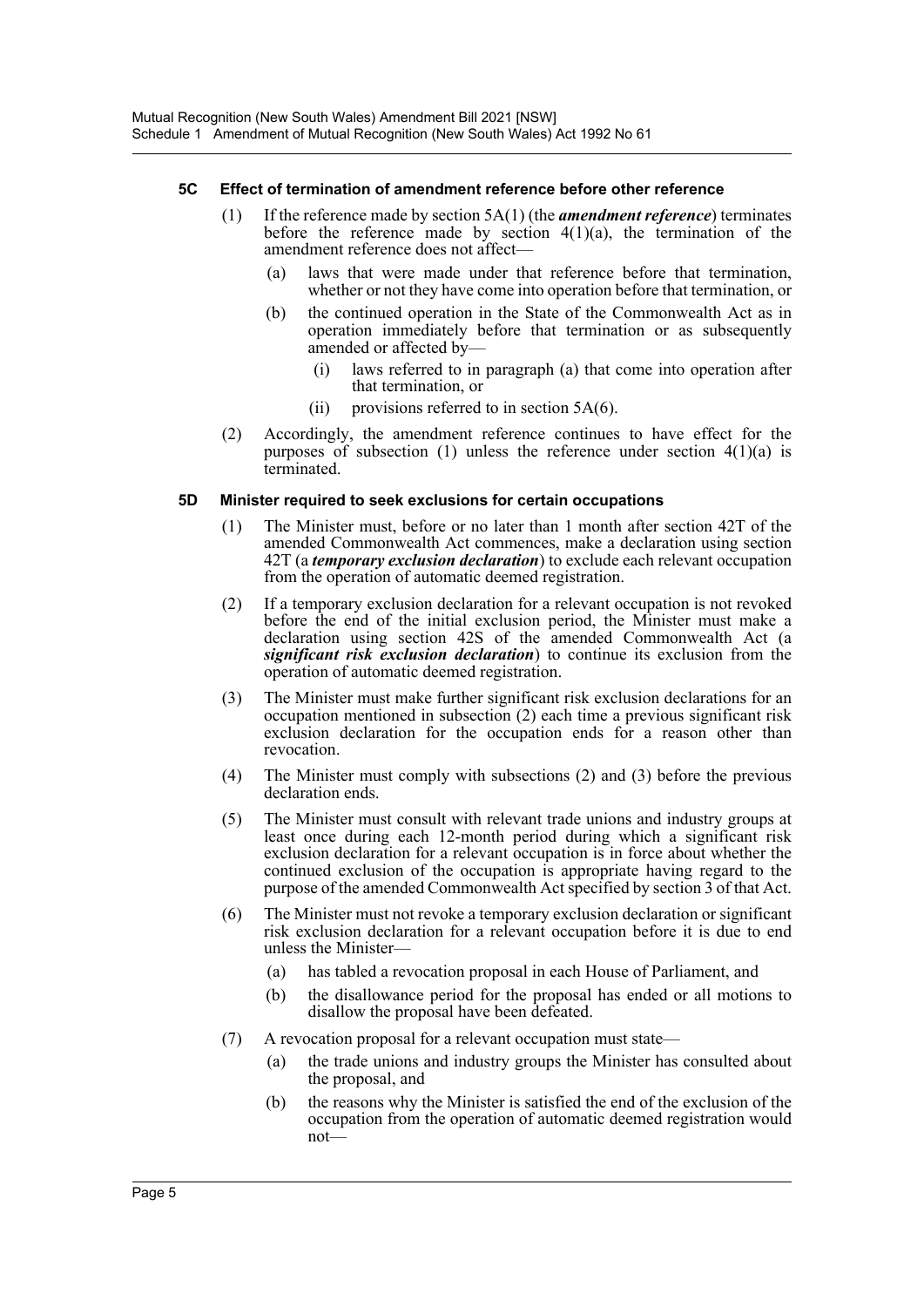#### **5C Effect of termination of amendment reference before other reference**

- (1) If the reference made by section 5A(1) (the *amendment reference*) terminates before the reference made by section  $4(1)(a)$ , the termination of the amendment reference does not affect—
	- (a) laws that were made under that reference before that termination, whether or not they have come into operation before that termination, or
	- (b) the continued operation in the State of the Commonwealth Act as in operation immediately before that termination or as subsequently amended or affected by—
		- (i) laws referred to in paragraph (a) that come into operation after that termination, or
		- (ii) provisions referred to in section  $5A(6)$ .
- (2) Accordingly, the amendment reference continues to have effect for the purposes of subsection (1) unless the reference under section  $4(1)(a)$  is terminated.

#### **5D Minister required to seek exclusions for certain occupations**

- (1) The Minister must, before or no later than 1 month after section 42T of the amended Commonwealth Act commences, make a declaration using section 42T (a *temporary exclusion declaration*) to exclude each relevant occupation from the operation of automatic deemed registration.
- (2) If a temporary exclusion declaration for a relevant occupation is not revoked before the end of the initial exclusion period, the Minister must make a declaration using section 42S of the amended Commonwealth Act (a *significant risk exclusion declaration*) to continue its exclusion from the operation of automatic deemed registration.
- (3) The Minister must make further significant risk exclusion declarations for an occupation mentioned in subsection (2) each time a previous significant risk exclusion declaration for the occupation ends for a reason other than revocation.
- (4) The Minister must comply with subsections (2) and (3) before the previous declaration ends.
- (5) The Minister must consult with relevant trade unions and industry groups at least once during each 12-month period during which a significant risk exclusion declaration for a relevant occupation is in force about whether the continued exclusion of the occupation is appropriate having regard to the purpose of the amended Commonwealth Act specified by section 3 of that Act.
- (6) The Minister must not revoke a temporary exclusion declaration or significant risk exclusion declaration for a relevant occupation before it is due to end unless the Minister—
	- (a) has tabled a revocation proposal in each House of Parliament, and
	- (b) the disallowance period for the proposal has ended or all motions to disallow the proposal have been defeated.
- (7) A revocation proposal for a relevant occupation must state—
	- (a) the trade unions and industry groups the Minister has consulted about the proposal, and
	- (b) the reasons why the Minister is satisfied the end of the exclusion of the occupation from the operation of automatic deemed registration would not—